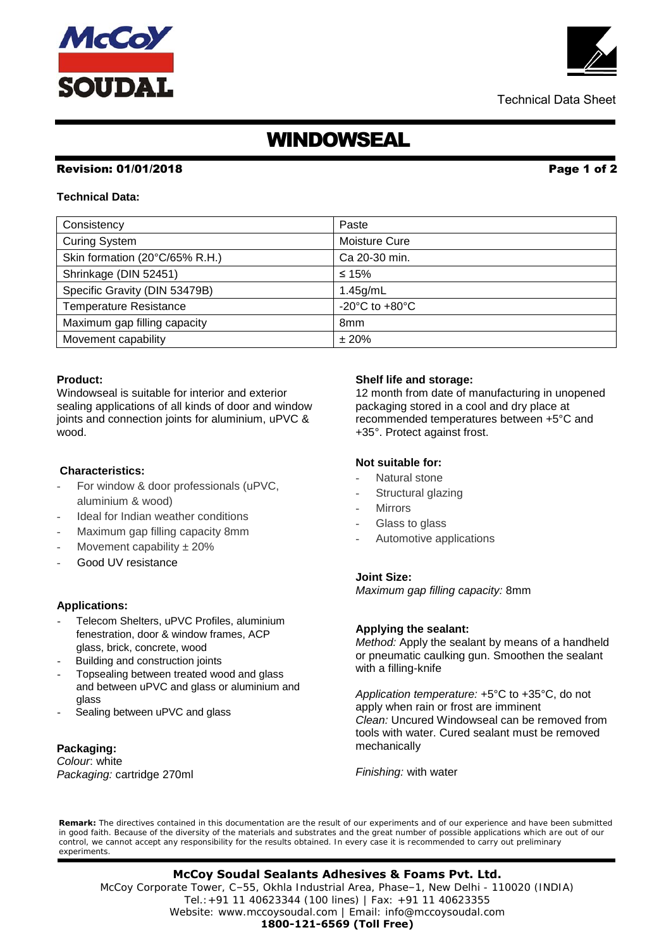# WINDOWSEAL

### Revision: 01/01/2018 Page 1 of 2

### **Technical Data:**

| Consistency                    | Paste                                                |
|--------------------------------|------------------------------------------------------|
| <b>Curing System</b>           | Moisture Cure                                        |
| Skin formation (20°C/65% R.H.) | Ca 20-30 min.                                        |
| Shrinkage (DIN 52451)          | ≤ 15%                                                |
| Specific Gravity (DIN 53479B)  | $1.45$ g/mL                                          |
| <b>Temperature Resistance</b>  | -20 $\mathrm{^{\circ}C}$ to +80 $\mathrm{^{\circ}C}$ |
| Maximum gap filling capacity   | 8 <sub>mm</sub>                                      |
| Movement capability            | ±20%                                                 |

#### **Product:**

Windowseal is suitable for interior and exterior sealing applications of all kinds of door and window joints and connection joints for aluminium, uPVC & wood.

### **Characteristics:**

- For window & door professionals (uPVC, aluminium & wood)
- Ideal for Indian weather conditions
- Maximum gap filling capacity 8mm
- Movement capability  $\pm 20\%$
- Good UV resistance

#### **Applications:**

- Telecom Shelters, uPVC Profiles, aluminium fenestration, door & window frames, ACP glass, brick, concrete, wood
- Building and construction joints
- Topsealing between treated wood and glass and between uPVC and glass or aluminium and glass
- Sealing between uPVC and glass

#### **Packaging:**

*Colour*: white *Packaging:* cartridge 270ml

#### **Shelf life and storage:**

12 month from date of manufacturing in unopened packaging stored in a cool and dry place at recommended temperatures between +5°C and +35°. Protect against frost.

#### **Not suitable for:**

- Natural stone
- Structural glazing
- **Mirrors**
- Glass to glass
- Automotive applications

#### **Joint Size:**

*Maximum gap filling capacity:* 8mm

#### **Applying the sealant:**

*Method:* Apply the sealant by means of a handheld or pneumatic caulking gun. Smoothen the sealant with a filling-knife

*Application temperature:* +5°C to +35°C, do not apply when rain or frost are imminent *Clean:* Uncured Windowseal can be removed from tools with water. Cured sealant must be removed mechanically

*Finishing:* with water

**Remark:** The directives contained in this documentation are the result of our experiments and of our experience and have been submitted in good faith. Because of the diversity of the materials and substrates and the great number of possible applications which are out of our control, we cannot accept any responsibility for the results obtained. In every case it is recommended to carry out preliminary experiments.

## **McCoy Soudal Sealants Adhesives & Foams Pvt. Ltd.**

 Tel.:+91 11 40623344 (100 lines) | Fax: +91 11 40623355 McCoy Corporate Tower, C–55, Okhla Industrial Area, Phase–1, New Delhi - 110020 (INDIA) Website: www.mccoysoudal.com | Email: info@mccoysoudal.com **1800-121-6569 (Toll Free)**



Technical Data Sheet